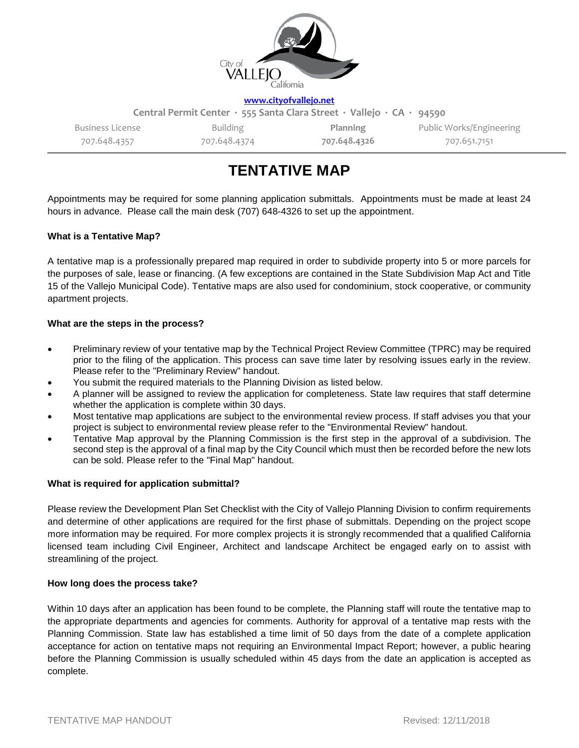

**[www.cityofvallejo.net](http://www.cityofvallejo.net/)**

| Central Permit Center · 555 Santa Clara Street · Vallejo · CA · 94590 |              |              |                          |
|-----------------------------------------------------------------------|--------------|--------------|--------------------------|
| Business License                                                      | Building     | Planning     | Public Works/Engineering |
| 707.648.4357                                                          | 707.648.4374 | 707.648.4326 | 707.651.7151             |

# **TENTATIVE MAP**

Appointments may be required for some planning application submittals. Appointments must be made at least 24 hours in advance. Please call the main desk (707) 648-4326 to set up the appointment.

# **What is a Tentative Map?**

A tentative map is a professionally prepared map required in order to subdivide property into 5 or more parcels for the purposes of sale, lease or financing. (A few exceptions are contained in the State Subdivision Map Act and Title 15 of the Vallejo Municipal Code). Tentative maps are also used for condominium, stock cooperative, or community apartment projects.

## **What are the steps in the process?**

- Preliminary review of your tentative map by the Technical Project Review Committee (TPRC) may be required prior to the filing of the application. This process can save time later by resolving issues early in the review. Please refer to the "Preliminary Review" handout.
- You submit the required materials to the Planning Division as listed below.
- A planner will be assigned to review the application for completeness. State law requires that staff determine whether the application is complete within 30 days.
- Most tentative map applications are subject to the environmental review process. If staff advises you that your project is subject to environmental review please refer to the "Environmental Review" handout.
- Tentative Map approval by the Planning Commission is the first step in the approval of a subdivision. The second step is the approval of a final map by the City Council which must then be recorded before the new lots can be sold. Please refer to the "Final Map" handout.

#### **What is required for application submittal?**

Please review the Development Plan Set Checklist with the City of Vallejo Planning Division to confirm requirements and determine of other applications are required for the first phase of submittals. Depending on the project scope more information may be required. For more complex projects it is strongly recommended that a qualified California licensed team including Civil Engineer, Architect and landscape Architect be engaged early on to assist with streamlining of the project.

#### **How long does the process take?**

Within 10 days after an application has been found to be complete, the Planning staff will route the tentative map to the appropriate departments and agencies for comments. Authority for approval of a tentative map rests with the Planning Commission. State law has established a time limit of 50 days from the date of a complete application acceptance for action on tentative maps not requiring an Environmental Impact Report; however, a public hearing before the Planning Commission is usually scheduled within 45 days from the date an application is accepted as complete.